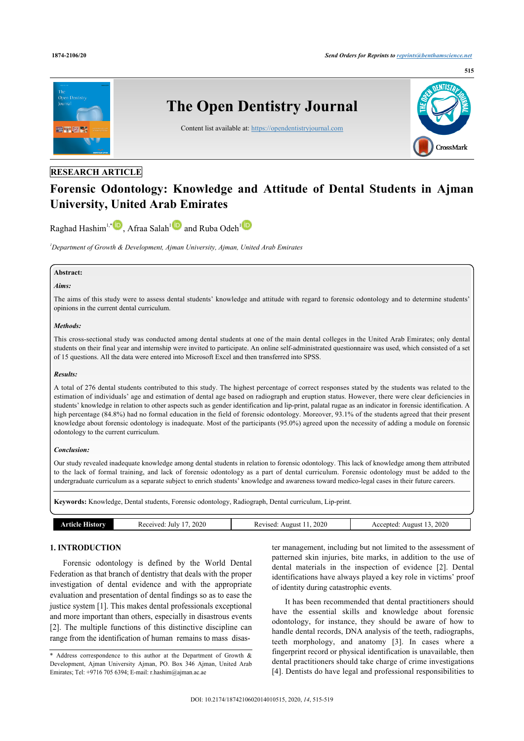

## **RESEARCH ARTICLE**

# **Forensic Odontology: Knowledge and Attitude of Dental Students in Ajman University, United Arab Emirates**

Raghad Hashim<sup>1,\*</sup>  $\bullet$ , Afraa Salah<sup>1</sup> and Ruba Odeh<sup>1</sup>

*<sup>1</sup>Department of Growth & Development, Ajman University, Ajman, United Arab Emirates*

#### **Abstract:**

## *Aims:*

The aims of this study were to assess dental students' knowledge and attitude with regard to forensic odontology and to determine students' opinions in the current dental curriculum.

#### *Methods:*

This cross-sectional study was conducted among dental students at one of the main dental colleges in the United Arab Emirates; only dental students on their final year and internship were invited to participate. An online self-administrated questionnaire was used, which consisted of a set of 15 questions. All the data were entered into Microsoft Excel and then transferred into SPSS.

#### *Results:*

A total of 276 dental students contributed to this study. The highest percentage of correct responses stated by the students was related to the estimation of individuals' age and estimation of dental age based on radiograph and eruption status. However, there were clear deficiencies in students' knowledge in relation to other aspects such as gender identification and lip-print, palatal rugae as an indicator in forensic identification. A high percentage (84.8%) had no formal education in the field of forensic odontology. Moreover, 93.1% of the students agreed that their present knowledge about forensic odontology is inadequate. Most of the participants (95.0%) agreed upon the necessity of adding a module on forensic odontology to the current curriculum.

#### *Conclusion:*

Our study revealed inadequate knowledge among dental students in relation to forensic odontology. This lack of knowledge among them attributed to the lack of formal training, and lack of forensic odontology as a part of dental curriculum. Forensic odontology must be added to the undergraduate curriculum as a separate subject to enrich students' knowledge and awareness toward medico-legal cases in their future careers.

**Keywords:** Knowledge, Dental students, Forensic odontology, Radiograph, Dental curriculum, Lip-print.

| History<br>rticia. | 2020<br>July<br>Received | 2020<br>August<br>Revised: At | 2020<br>Accepted:<br>August<br>$  -$ |
|--------------------|--------------------------|-------------------------------|--------------------------------------|
|                    |                          |                               |                                      |

## **1. INTRODUCTION**

Forensic odontology is defined by the World Dental Federation as that branch of dentistry that deals with the proper investigation of dental evidence and with the appropriate evaluation and presentation of dental findings so as to ease the justice system [1]. This makes dental professionals exceptional and more important than others, especially in disastrous events [2]. The multiple functions of this distinctive discipline can range from the identification of human remains to mass disas-

ter management, including but not limited to the assessment of patterned skin injuries, bite marks, in addition to the use of dental materials in the inspection of evidence [2]. Dental identifications have always played a key role in victims' proof of identity during catastrophic events.

It has been recommended that dental practitioners should have the essential skills and knowledge about forensic odontology, for instance, they should be aware of how to handle dental records, DNA analysis of the teeth, radiographs, teeth morphology, and anatomy [3]. In cases where a fingerprint record or physical identification is unavailable, then dental practitioners should take charge of crime investigations [4]. Dentists do have legal and professional responsibilities to

<sup>\*</sup> Address correspondence to this author at the Department of Growth & Development, Ajman University Ajman, PO. Box 346 Ajman, United Arab Emirates; Tel: +9716 705 6394; E-mail: r.hashim@ajman.ac.ae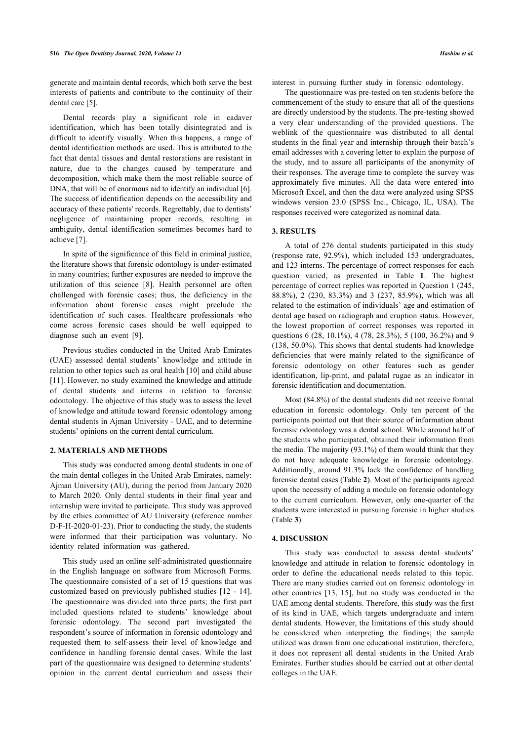generate and maintain dental records, which both serve the best interests of patients and contribute to the continuity of their dental care [5].

Dental records play a significant role in cadaver identification, which has been totally disintegrated and is difficult to identify visually. When this happens, a range of dental identification methods are used. This is attributed to the fact that dental tissues and dental restorations are resistant in nature, due to the changes caused by temperature and decomposition, which make them the most reliable source of DNA, that will be of enormous aid to identify an individual [6]. The success of identification depends on the accessibility and accuracy of these patients' records. Regrettably, due to dentists' negligence of maintaining proper records, resulting in ambiguity, dental identification sometimes becomes hard to achieve [7].

In spite of the significance of this field in criminal justice, the literature shows that forensic odontology is under-estimated in many countries; further exposures are needed to improve the utilization of this science [8]. Health personnel are often challenged with forensic cases; thus, the deficiency in the information about forensic cases might preclude the identification of such cases. Healthcare professionals who come across forensic cases should be well equipped to diagnose such an event [9].

Previous studies conducted in the United Arab Emirates (UAE) assessed dental students' knowledge and attitude in relation to other topics such as oral health [10] and child abuse [11]. However, no study examined the knowledge and attitude of dental students and interns in relation to forensic odontology. The objective of this study was to assess the level of knowledge and attitude toward forensic odontology among dental students in Ajman University - UAE, and to determine students' opinions on the current dental curriculum.

## **2. MATERIALS AND METHODS**

This study was conducted among dental students in one of the main dental colleges in the United Arab Emirates, namely: Ajman University (AU), during the period from January 2020 to March 2020. Only dental students in their final year and internship were invited to participate. This study was approved by the ethics committee of AU University (reference number D-F-H-2020-01-23). Prior to conducting the study, the students were informed that their participation was voluntary. No identity related information was gathered.

This study used an online self-administrated questionnaire in the English language on software from Microsoft Forms. The questionnaire consisted of a set of 15 questions that was customized based on previously published studies [12 - 14]. The questionnaire was divided into three parts; the first part included questions related to students' knowledge about forensic odontology. The second part investigated the respondent's source of information in forensic odontology and requested them to self-assess their level of knowledge and confidence in handling forensic dental cases. While the last part of the questionnaire was designed to determine students' opinion in the current dental curriculum and assess their interest in pursuing further study in forensic odontology.

The questionnaire was pre-tested on ten students before the commencement of the study to ensure that all of the questions are directly understood by the students. The pre-testing showed a very clear understanding of the provided questions. The weblink of the questionnaire was distributed to all dental students in the final year and internship through their batch's email addresses with a covering letter to explain the purpose of the study, and to assure all participants of the anonymity of their responses. The average time to complete the survey was approximately five minutes. All the data were entered into Microsoft Excel, and then the data were analyzed using SPSS windows version 23.0 (SPSS Inc., Chicago, IL, USA). The responses received were categorized as nominal data.

## **3. RESULTS**

A total of 276 dental students participated in this study (response rate, 92.9%), which included 153 undergraduates, and 123 interns. The percentage of correct responses for each question varied, as presented in Table **1**. The highest percentage of correct replies was reported in Question 1 (245, 88.8%), 2 (230, 83.3%) and 3 (237, 85.9%), which was all related to the estimation of individuals' age and estimation of dental age based on radiograph and eruption status. However, the lowest proportion of correct responses was reported in questions 6 (28, 10.1%), 4 (78, 28.3%), 5 (100, 36.2%) and 9 (138, 50.0%). This shows that dental students had knowledge deficiencies that were mainly related to the significance of forensic odontology on other features such as gender identification, lip-print, and palatal rugae as an indicator in forensic identification and documentation.

Most (84.8%) of the dental students did not receive formal education in forensic odontology. Only ten percent of the participants pointed out that their source of information about forensic odontology was a dental school. While around half of the students who participated, obtained their information from the media. The majority (93.1%) of them would think that they do not have adequate knowledge in forensic odontology. Additionally, around 91.3% lack the confidence of handling forensic dental cases (Table **2**). Most of the participants agreed upon the necessity of adding a module on forensic odontology to the current curriculum. However, only one-quarter of the students were interested in pursuing forensic in higher studies (Table **3**).

#### **4. DISCUSSION**

This study was conducted to assess dental students' knowledge and attitude in relation to forensic odontology in order to define the educational needs related to this topic. There are many studies carried out on forensic odontology in other countries [13, 15], but no study was conducted in the UAE among dental students. Therefore, this study was the first of its kind in UAE, which targets undergraduate and intern dental students. However, the limitations of this study should be considered when interpreting the findings; the sample utilized was drawn from one educational institution, therefore, it does not represent all dental students in the United Arab Emirates. Further studies should be carried out at other dental colleges in the UAE.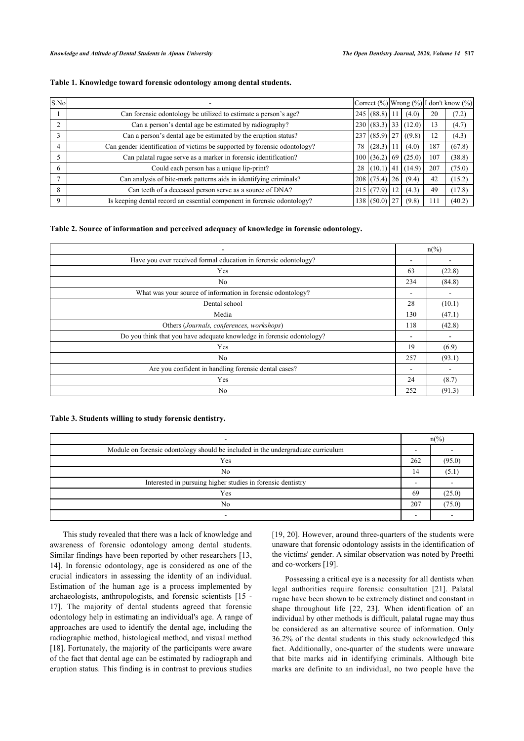## **Table 1. Knowledge toward forensic odontology among dental students.**

| S.No        |                                                                           |    |                |        |     | Correct $(\%)$ Wrong $(\%)$ I don't know $(\%)$ |
|-------------|---------------------------------------------------------------------------|----|----------------|--------|-----|-------------------------------------------------|
|             | Can forensic odontology be utilized to estimate a person's age?           |    | 245 (88.8) 1   | (4.0)  | 20  | (7.2)                                           |
|             | Can a person's dental age be estimated by radiography?                    |    | 230 (83.3) 33  | (12.0) | 13  | (4.7)                                           |
|             | Can a person's dental age be estimated by the eruption status?            |    | $237(85.9)$ 27 | ((9.8) | 12  | (4.3)                                           |
|             | Can gender identification of victims be supported by forensic odontology? | 78 | (28.3)         | (4.0)  | 187 | (67.8)                                          |
|             | Can palatal rugae serve as a marker in forensic identification?           |    | 100 (36.2) 69  | (25.0) | 107 | (38.8)                                          |
| 6           | Could each person has a unique lip-print?                                 | 28 | $(10.1)$ 41    | (14.9) | 207 | (75.0)                                          |
|             | Can analysis of bite-mark patterns aids in identifying criminals?         |    | 208 (75.4) 26  | (9.4)  | 42  | (15.2)                                          |
| 8           | Can teeth of a deceased person serve as a source of DNA?                  |    | 215 (77.9) 12  | (4.3)  | 49  | (17.8)                                          |
| $\mathbf Q$ | Is keeping dental record an essential component in forensic odontology?   |    | 138 (50.0) 27  | (9.8)  | 111 | (40.2)                                          |

## **Table 2. Source of information and perceived adequacy of knowledge in forensic odontology.**

| ۰                                                                     | $n\frac{6}{6}$ |        |
|-----------------------------------------------------------------------|----------------|--------|
| Have you ever received formal education in forensic odontology?       |                |        |
| Yes                                                                   | 63             | (22.8) |
| No                                                                    | 234            | (84.8) |
| What was your source of information in forensic odontology?           | -              | -      |
| Dental school                                                         | 28             | (10.1) |
| Media                                                                 | 130            | (47.1) |
| Others (Journals, conferences, workshops)                             | 118            | (42.8) |
| Do you think that you have adequate knowledge in forensic odontology? |                | ۰      |
| Yes                                                                   | 19             | (6.9)  |
| N <sub>0</sub>                                                        | 257            | (93.1) |
| Are you confident in handling forensic dental cases?                  |                |        |
| Yes                                                                   | 24             | (8.7)  |
| N <sub>0</sub>                                                        | 252            | (91.3) |

## **Table 3. Students willing to study forensic dentistry.**

|                                                                                  |     | $n\frac{\omega}{\omega}$ |  |
|----------------------------------------------------------------------------------|-----|--------------------------|--|
| Module on forensic odontology should be included in the undergraduate curriculum |     |                          |  |
| Yes                                                                              | 262 | (95.0)                   |  |
| N <sub>0</sub>                                                                   | 14  | (5.1)                    |  |
| Interested in pursuing higher studies in forensic dentistry                      |     |                          |  |
| Yes                                                                              | 69  | (25.0)                   |  |
| No                                                                               | 207 | (75.0)                   |  |
|                                                                                  |     |                          |  |

This study revealed that there was a lack of knowledge and awareness of forensic odontology among dental students. Similar findings have been reported by other researchers [13, 14]. In forensic odontology, age is considered as one of the crucial indicators in assessing the identity of an individual. Estimation of the human age is a process implemented by archaeologists, anthropologists, and forensic scientists [15 - 17]. The majority of dental students agreed that forensic odontology help in estimating an individual's age. A range of approaches are used to identify the dental age, including the radiographic method, histological method, and visual method [18]. Fortunately, the majority of the participants were aware of the fact that dental age can be estimated by radiograph and eruption status. This finding is in contrast to previous studies

[19, 20]. However, around three-quarters of the students were unaware that forensic odontology assists in the identification of the victims' gender. A similar observation was noted by Preethi and co-workers [19].

Possessing a critical eye is a necessity for all dentists when legal authorities require forensic consultation [21]. Palatal rugae have been shown to be extremely distinct and constant in shape throughout life [22, 23]. When identification of an individual by other methods is difficult, palatal rugae may thus be considered as an alternative source of information. Only 36.2% of the dental students in this study acknowledged this fact. Additionally, one-quarter of the students were unaware that bite marks aid in identifying criminals. Although bite marks are definite to an individual, no two people have the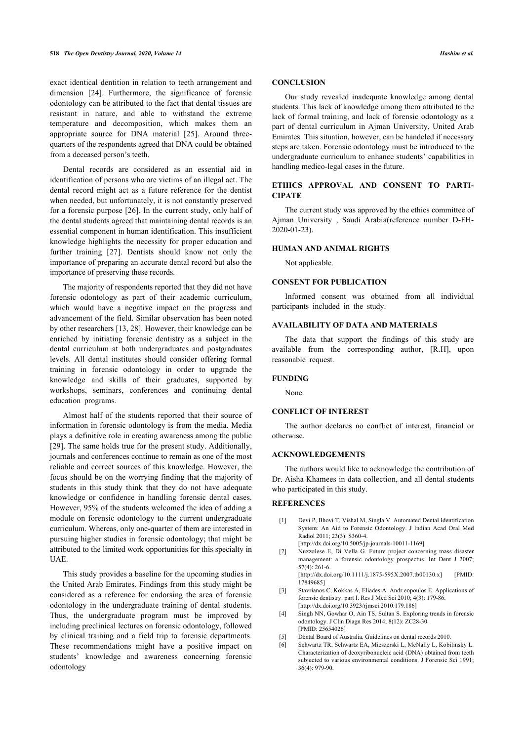exact identical dentition in relation to teeth arrangement and dimension [24]. Furthermore, the significance of forensic odontology can be attributed to the fact that dental tissues are resistant in nature, and able to withstand the extreme temperature and decomposition, which makes them an appropriate source for DNA material [25]. Around threequarters of the respondents agreed that DNA could be obtained from a deceased person's teeth.

Dental records are considered as an essential aid in identification of persons who are victims of an illegal act. The dental record might act as a future reference for the dentist when needed, but unfortunately, it is not constantly preserved for a forensic purpose [26]. In the current study, only half of the dental students agreed that maintaining dental records is an essential component in human identification. This insufficient knowledge highlights the necessity for proper education and further training [27]. Dentists should know not only the importance of preparing an accurate dental record but also the importance of preserving these records.

The majority of respondents reported that they did not have forensic odontology as part of their academic curriculum, which would have a negative impact on the progress and advancement of the field. Similar observation has been noted by other researchers [13, 28]. However, their knowledge can be enriched by initiating forensic dentistry as a subject in the dental curriculum at both undergraduates and postgraduates levels. All dental institutes should consider offering formal training in forensic odontology in order to upgrade the knowledge and skills of their graduates, supported by workshops, seminars, conferences and continuing dental education programs.

Almost half of the students reported that their source of information in forensic odontology is from the media. Media plays a definitive role in creating awareness among the public [29]. The same holds true for the present study. Additionally, journals and conferences continue to remain as one of the most reliable and correct sources of this knowledge. However, the focus should be on the worrying finding that the majority of students in this study think that they do not have adequate knowledge or confidence in handling forensic dental cases. However, 95% of the students welcomed the idea of adding a module on forensic odontology to the current undergraduate curriculum. Whereas, only one-quarter of them are interested in pursuing higher studies in forensic odontology; that might be attributed to the limited work opportunities for this specialty in UAE.

This study provides a baseline for the upcoming studies in the United Arab Emirates. Findings from this study might be considered as a reference for endorsing the area of forensic odontology in the undergraduate training of dental students. Thus, the undergraduate program must be improved by including preclinical lectures on forensic odontology, followed by clinical training and a field trip to forensic departments. These recommendations might have a positive impact on students' knowledge and awareness concerning forensic odontology

## **CONCLUSION**

Our study revealed inadequate knowledge among dental students. This lack of knowledge among them attributed to the lack of formal training, and lack of forensic odontology as a part of dental curriculum in Ajman University, United Arab Emirates. This situation, however, can be handeled if necessary steps are taken. Forensic odontology must be introduced to the undergraduate curriculum to enhance students' capabilities in handling medico-legal cases in the future.

## **ETHICS APPROVAL AND CONSENT TO PARTI-CIPATE**

The current study was approved by the ethics committee of Ajman University , Saudi Arabia(reference number D-FH-2020-01-23).

#### **HUMAN AND ANIMAL RIGHTS**

Not applicable.

#### **CONSENT FOR PUBLICATION**

Informed consent was obtained from all individual participants included in the study.

## **AVAILABILITY OF DATA AND MATERIALS**

The data that support the findings of this study are available from the corresponding author, [R.H], upon reasonable request.

#### **FUNDING**

None.

#### **CONFLICT OF INTEREST**

The author declares no conflict of interest, financial or otherwise.

## **ACKNOWLEDGEMENTS**

The authors would like to acknowledge the contribution of Dr. Aisha Khamees in data collection, and all dental students who participated in this study.

#### **REFERENCES**

- [1] Devi P, Bhovi T, Vishal M, Singla V. Automated Dental Identification System: An Aid to Forensic Odontology. J Indian Acad Oral Med Radiol 2011; 23(3): S360-4. [http://dx.doi.org/10.5005/jp-journals-10011-1169]
- 
- [2] Nuzzolese E, Di Vella G. Future project concerning mass disaster management: a forensic odontology prospectus. Int Dent J 2007;  $57(4) \cdot 261.6$ [http://dx.doi.org/10.1111/j.1875-595X.2007.tb00130.x] [PMID:
- 17849685] [3] Stavrianos C, Kokkas A, Eliades A. Andr eopoulos E. Applications of forensic dentistry: part I. Res J Med Sci 2010; 4(3): 179-86. [http://dx.doi.org/10.3923/rjmsci.2010.179.186]
- [4] Singh NN, Gowhar O, Ain TS, Sultan S. Exploring trends in forensic odontology. J Clin Diagn Res 2014; 8(12): ZC28-30. [PMID: 25654026]
- [5] Dental Board of Australia. Guidelines on dental records 2010.
- [6] Schwartz TR, Schwartz EA, Mieszerski L, McNally L, Kobilinsky L. Characterization of deoxyribonucleic acid (DNA) obtained from teeth subjected to various environmental conditions. J Forensic Sci 1991; 36(4): 979-90.